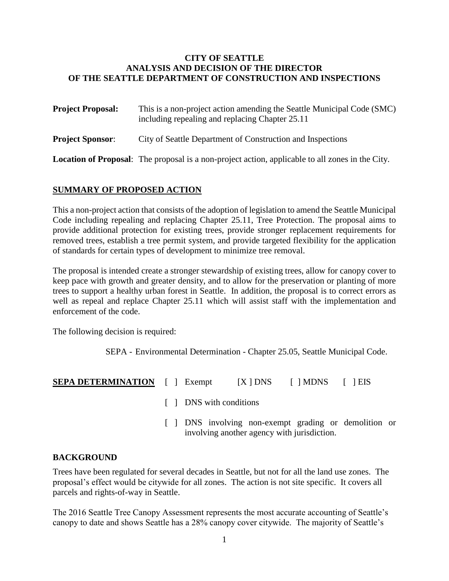### **CITY OF SEATTLE ANALYSIS AND DECISION OF THE DIRECTOR OF THE SEATTLE DEPARTMENT OF CONSTRUCTION AND INSPECTIONS**

| <b>Project Proposal:</b> | This is a non-project action amending the Seattle Municipal Code (SMC)<br>including repealing and replacing Chapter 25.11 |  |  |  |  |
|--------------------------|---------------------------------------------------------------------------------------------------------------------------|--|--|--|--|
| <b>Project Sponsor:</b>  | City of Seattle Department of Construction and Inspections                                                                |  |  |  |  |
|                          | <b>Location of Proposal:</b> The proposal is a non-project action, applicable to all zones in the City.                   |  |  |  |  |

# **SUMMARY OF PROPOSED ACTION**

This a non-project action that consists of the adoption of legislation to amend the Seattle Municipal Code including repealing and replacing Chapter 25.11, Tree Protection. The proposal aims to provide additional protection for existing trees, provide stronger replacement requirements for removed trees, establish a tree permit system, and provide targeted flexibility for the application of standards for certain types of development to minimize tree removal.

The proposal is intended create a stronger stewardship of existing trees, allow for canopy cover to keep pace with growth and greater density, and to allow for the preservation or planting of more trees to support a healthy urban forest in Seattle. In addition, the proposal is to correct errors as well as repeal and replace Chapter 25.11 which will assist staff with the implementation and enforcement of the code.

The following decision is required:

SEPA - Environmental Determination - Chapter 25.05, Seattle Municipal Code.

| <b>SEPA DETERMINATION</b> |  | 1 Exempt | $[X]$ DNS | $\lceil$   MDNS |  | $\lceil \ \rceil$ EIS |
|---------------------------|--|----------|-----------|-----------------|--|-----------------------|
|---------------------------|--|----------|-----------|-----------------|--|-----------------------|

- [ ] DNS with conditions
- [ ] DNS involving non-exempt grading or demolition or involving another agency with jurisdiction.

#### **BACKGROUND**

Trees have been regulated for several decades in Seattle, but not for all the land use zones. The proposal's effect would be citywide for all zones. The action is not site specific. It covers all parcels and rights-of-way in Seattle.

The 2016 Seattle Tree Canopy Assessment represents the most accurate accounting of Seattle's canopy to date and shows Seattle has a 28% canopy cover citywide. The majority of Seattle's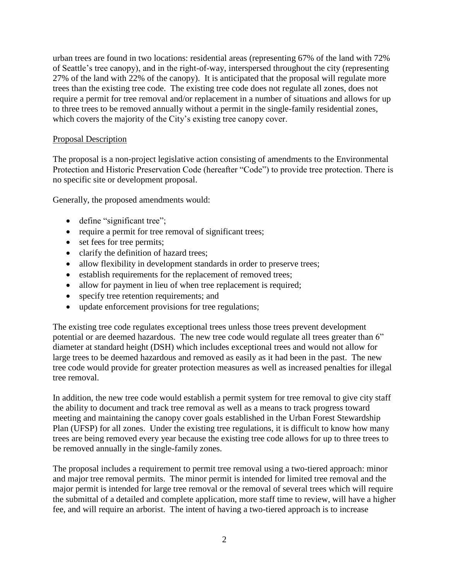urban trees are found in two locations: residential areas (representing 67% of the land with 72% of Seattle's tree canopy), and in the right-of-way, interspersed throughout the city (representing 27% of the land with 22% of the canopy). It is anticipated that the proposal will regulate more trees than the existing tree code. The existing tree code does not regulate all zones, does not require a permit for tree removal and/or replacement in a number of situations and allows for up to three trees to be removed annually without a permit in the single-family residential zones, which covers the majority of the City's existing tree canopy cover.

#### Proposal Description

The proposal is a non-project legislative action consisting of amendments to the Environmental Protection and Historic Preservation Code (hereafter "Code") to provide tree protection. There is no specific site or development proposal.

Generally, the proposed amendments would:

- define "significant tree";
- require a permit for tree removal of significant trees;
- set fees for tree permits;
- clarify the definition of hazard trees;
- allow flexibility in development standards in order to preserve trees;
- establish requirements for the replacement of removed trees;
- allow for payment in lieu of when tree replacement is required;
- specify tree retention requirements; and
- update enforcement provisions for tree regulations;

The existing tree code regulates exceptional trees unless those trees prevent development potential or are deemed hazardous. The new tree code would regulate all trees greater than 6" diameter at standard height (DSH) which includes exceptional trees and would not allow for large trees to be deemed hazardous and removed as easily as it had been in the past. The new tree code would provide for greater protection measures as well as increased penalties for illegal tree removal.

In addition, the new tree code would establish a permit system for tree removal to give city staff the ability to document and track tree removal as well as a means to track progress toward meeting and maintaining the canopy cover goals established in the Urban Forest Stewardship Plan (UFSP) for all zones. Under the existing tree regulations, it is difficult to know how many trees are being removed every year because the existing tree code allows for up to three trees to be removed annually in the single-family zones.

The proposal includes a requirement to permit tree removal using a two-tiered approach: minor and major tree removal permits. The minor permit is intended for limited tree removal and the major permit is intended for large tree removal or the removal of several trees which will require the submittal of a detailed and complete application, more staff time to review, will have a higher fee, and will require an arborist. The intent of having a two-tiered approach is to increase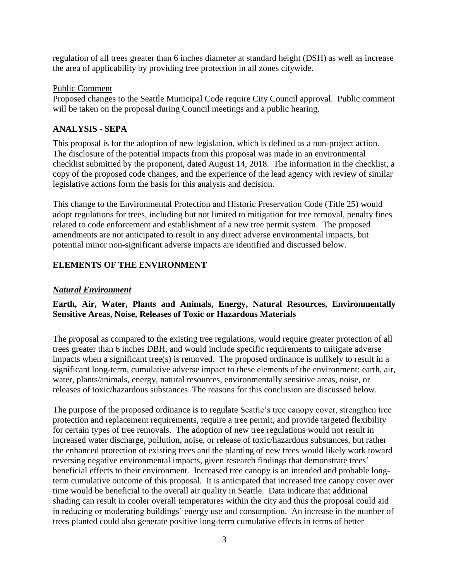regulation of all trees greater than 6 inches diameter at standard height (DSH) as well as increase the area of applicability by providing tree protection in all zones citywide.

### Public Comment

Proposed changes to the Seattle Municipal Code require City Council approval. Public comment will be taken on the proposal during Council meetings and a public hearing.

## **ANALYSIS - SEPA**

This proposal is for the adoption of new legislation, which is defined as a non-project action. The disclosure of the potential impacts from this proposal was made in an environmental checklist submitted by the proponent, dated August 14, 2018. The information in the checklist, a copy of the proposed code changes, and the experience of the lead agency with review of similar legislative actions form the basis for this analysis and decision.

This change to the Environmental Protection and Historic Preservation Code (Title 25) would adopt regulations for trees, including but not limited to mitigation for tree removal, penalty fines related to code enforcement and establishment of a new tree permit system. The proposed amendments are not anticipated to result in any direct adverse environmental impacts, but potential minor non-significant adverse impacts are identified and discussed below.

# **ELEMENTS OF THE ENVIRONMENT**

## *Natural Environment*

# **Earth, Air, Water, Plants and Animals, Energy, Natural Resources, Environmentally Sensitive Areas, Noise, Releases of Toxic or Hazardous Materials**

The proposal as compared to the existing tree regulations, would require greater protection of all trees greater than 6 inches DBH, and would include specific requirements to mitigate adverse impacts when a significant tree(s) is removed. The proposed ordinance is unlikely to result in a significant long-term, cumulative adverse impact to these elements of the environment: earth, air, water, plants/animals, energy, natural resources, environmentally sensitive areas, noise, or releases of toxic/hazardous substances. The reasons for this conclusion are discussed below.

The purpose of the proposed ordinance is to regulate Seattle's tree canopy cover, strengthen tree protection and replacement requirements, require a tree permit, and provide targeted flexibility for certain types of tree removals. The adoption of new tree regulations would not result in increased water discharge, pollution, noise, or release of toxic/hazardous substances, but rather the enhanced protection of existing trees and the planting of new trees would likely work toward reversing negative environmental impacts, given research findings that demonstrate trees' beneficial effects to their environment. Increased tree canopy is an intended and probable longterm cumulative outcome of this proposal. It is anticipated that increased tree canopy cover over time would be beneficial to the overall air quality in Seattle. Data indicate that additional shading can result in cooler overall temperatures within the city and thus the proposal could aid in reducing or moderating buildings' energy use and consumption. An increase in the number of trees planted could also generate positive long-term cumulative effects in terms of better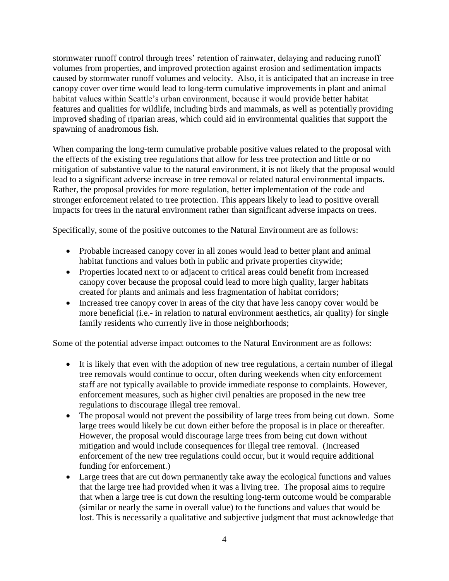stormwater runoff control through trees' retention of rainwater, delaying and reducing runoff volumes from properties, and improved protection against erosion and sedimentation impacts caused by stormwater runoff volumes and velocity. Also, it is anticipated that an increase in tree canopy cover over time would lead to long-term cumulative improvements in plant and animal habitat values within Seattle's urban environment, because it would provide better habitat features and qualities for wildlife, including birds and mammals, as well as potentially providing improved shading of riparian areas, which could aid in environmental qualities that support the spawning of anadromous fish.

When comparing the long-term cumulative probable positive values related to the proposal with the effects of the existing tree regulations that allow for less tree protection and little or no mitigation of substantive value to the natural environment, it is not likely that the proposal would lead to a significant adverse increase in tree removal or related natural environmental impacts. Rather, the proposal provides for more regulation, better implementation of the code and stronger enforcement related to tree protection. This appears likely to lead to positive overall impacts for trees in the natural environment rather than significant adverse impacts on trees.

Specifically, some of the positive outcomes to the Natural Environment are as follows:

- Probable increased canopy cover in all zones would lead to better plant and animal habitat functions and values both in public and private properties citywide;
- Properties located next to or adjacent to critical areas could benefit from increased canopy cover because the proposal could lead to more high quality, larger habitats created for plants and animals and less fragmentation of habitat corridors;
- Increased tree canopy cover in areas of the city that have less canopy cover would be more beneficial (i.e.- in relation to natural environment aesthetics, air quality) for single family residents who currently live in those neighborhoods;

Some of the potential adverse impact outcomes to the Natural Environment are as follows:

- It is likely that even with the adoption of new tree regulations, a certain number of illegal tree removals would continue to occur, often during weekends when city enforcement staff are not typically available to provide immediate response to complaints. However, enforcement measures, such as higher civil penalties are proposed in the new tree regulations to discourage illegal tree removal.
- The proposal would not prevent the possibility of large trees from being cut down. Some large trees would likely be cut down either before the proposal is in place or thereafter. However, the proposal would discourage large trees from being cut down without mitigation and would include consequences for illegal tree removal. (Increased enforcement of the new tree regulations could occur, but it would require additional funding for enforcement.)
- Large trees that are cut down permanently take away the ecological functions and values that the large tree had provided when it was a living tree. The proposal aims to require that when a large tree is cut down the resulting long-term outcome would be comparable (similar or nearly the same in overall value) to the functions and values that would be lost. This is necessarily a qualitative and subjective judgment that must acknowledge that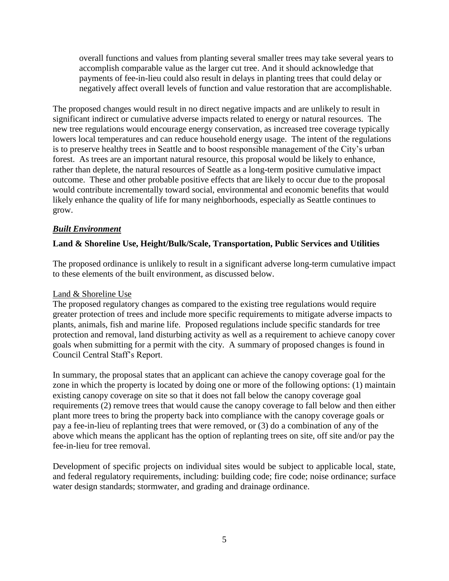overall functions and values from planting several smaller trees may take several years to accomplish comparable value as the larger cut tree. And it should acknowledge that payments of fee-in-lieu could also result in delays in planting trees that could delay or negatively affect overall levels of function and value restoration that are accomplishable.

The proposed changes would result in no direct negative impacts and are unlikely to result in significant indirect or cumulative adverse impacts related to energy or natural resources. The new tree regulations would encourage energy conservation, as increased tree coverage typically lowers local temperatures and can reduce household energy usage. The intent of the regulations is to preserve healthy trees in Seattle and to boost responsible management of the City's urban forest. As trees are an important natural resource, this proposal would be likely to enhance, rather than deplete, the natural resources of Seattle as a long-term positive cumulative impact outcome. These and other probable positive effects that are likely to occur due to the proposal would contribute incrementally toward social, environmental and economic benefits that would likely enhance the quality of life for many neighborhoods, especially as Seattle continues to grow.

## *Built Environment*

## **Land & Shoreline Use, Height/Bulk/Scale, Transportation, Public Services and Utilities**

The proposed ordinance is unlikely to result in a significant adverse long-term cumulative impact to these elements of the built environment, as discussed below.

#### Land & Shoreline Use

The proposed regulatory changes as compared to the existing tree regulations would require greater protection of trees and include more specific requirements to mitigate adverse impacts to plants, animals, fish and marine life. Proposed regulations include specific standards for tree protection and removal, land disturbing activity as well as a requirement to achieve canopy cover goals when submitting for a permit with the city. A summary of proposed changes is found in Council Central Staff's Report.

In summary, the proposal states that an applicant can achieve the canopy coverage goal for the zone in which the property is located by doing one or more of the following options: (1) maintain existing canopy coverage on site so that it does not fall below the canopy coverage goal requirements (2) remove trees that would cause the canopy coverage to fall below and then either plant more trees to bring the property back into compliance with the canopy coverage goals or pay a fee-in-lieu of replanting trees that were removed, or (3) do a combination of any of the above which means the applicant has the option of replanting trees on site, off site and/or pay the fee-in-lieu for tree removal.

Development of specific projects on individual sites would be subject to applicable local, state, and federal regulatory requirements, including: building code; fire code; noise ordinance; surface water design standards; stormwater, and grading and drainage ordinance.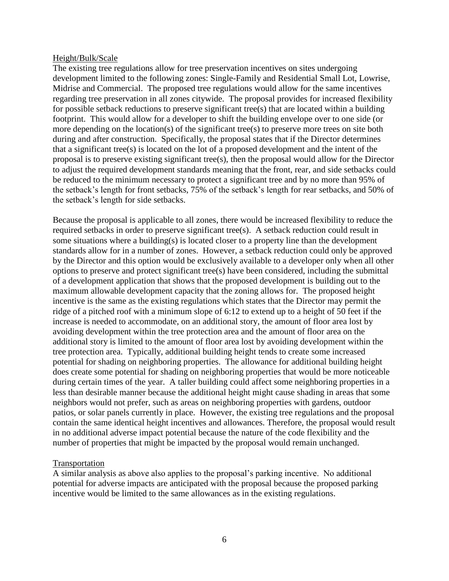#### Height/Bulk/Scale

The existing tree regulations allow for tree preservation incentives on sites undergoing development limited to the following zones: Single-Family and Residential Small Lot, Lowrise, Midrise and Commercial. The proposed tree regulations would allow for the same incentives regarding tree preservation in all zones citywide. The proposal provides for increased flexibility for possible setback reductions to preserve significant tree(s) that are located within a building footprint. This would allow for a developer to shift the building envelope over to one side (or more depending on the location(s) of the significant tree(s) to preserve more trees on site both during and after construction. Specifically, the proposal states that if the Director determines that a significant tree(s) is located on the lot of a proposed development and the intent of the proposal is to preserve existing significant tree(s), then the proposal would allow for the Director to adjust the required development standards meaning that the front, rear, and side setbacks could be reduced to the minimum necessary to protect a significant tree and by no more than 95% of the setback's length for front setbacks, 75% of the setback's length for rear setbacks, and 50% of the setback's length for side setbacks.

Because the proposal is applicable to all zones, there would be increased flexibility to reduce the required setbacks in order to preserve significant tree(s). A setback reduction could result in some situations where a building(s) is located closer to a property line than the development standards allow for in a number of zones. However, a setback reduction could only be approved by the Director and this option would be exclusively available to a developer only when all other options to preserve and protect significant tree(s) have been considered, including the submittal of a development application that shows that the proposed development is building out to the maximum allowable development capacity that the zoning allows for. The proposed height incentive is the same as the existing regulations which states that the Director may permit the ridge of a pitched roof with a minimum slope of 6:12 to extend up to a height of 50 feet if the increase is needed to accommodate, on an additional story, the amount of floor area lost by avoiding development within the tree protection area and the amount of floor area on the additional story is limited to the amount of floor area lost by avoiding development within the tree protection area. Typically, additional building height tends to create some increased potential for shading on neighboring properties. The allowance for additional building height does create some potential for shading on neighboring properties that would be more noticeable during certain times of the year. A taller building could affect some neighboring properties in a less than desirable manner because the additional height might cause shading in areas that some neighbors would not prefer, such as areas on neighboring properties with gardens, outdoor patios, or solar panels currently in place. However, the existing tree regulations and the proposal contain the same identical height incentives and allowances. Therefore, the proposal would result in no additional adverse impact potential because the nature of the code flexibility and the number of properties that might be impacted by the proposal would remain unchanged.

#### **Transportation**

A similar analysis as above also applies to the proposal's parking incentive. No additional potential for adverse impacts are anticipated with the proposal because the proposed parking incentive would be limited to the same allowances as in the existing regulations.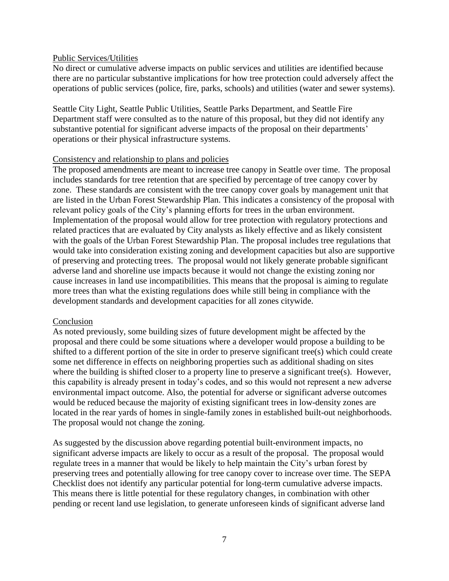#### Public Services/Utilities

No direct or cumulative adverse impacts on public services and utilities are identified because there are no particular substantive implications for how tree protection could adversely affect the operations of public services (police, fire, parks, schools) and utilities (water and sewer systems).

Seattle City Light, Seattle Public Utilities, Seattle Parks Department, and Seattle Fire Department staff were consulted as to the nature of this proposal, but they did not identify any substantive potential for significant adverse impacts of the proposal on their departments' operations or their physical infrastructure systems.

#### Consistency and relationship to plans and policies

The proposed amendments are meant to increase tree canopy in Seattle over time. The proposal includes standards for tree retention that are specified by percentage of tree canopy cover by zone. These standards are consistent with the tree canopy cover goals by management unit that are listed in the Urban Forest Stewardship Plan. This indicates a consistency of the proposal with relevant policy goals of the City's planning efforts for trees in the urban environment. Implementation of the proposal would allow for tree protection with regulatory protections and related practices that are evaluated by City analysts as likely effective and as likely consistent with the goals of the Urban Forest Stewardship Plan. The proposal includes tree regulations that would take into consideration existing zoning and development capacities but also are supportive of preserving and protecting trees. The proposal would not likely generate probable significant adverse land and shoreline use impacts because it would not change the existing zoning nor cause increases in land use incompatibilities. This means that the proposal is aiming to regulate more trees than what the existing regulations does while still being in compliance with the development standards and development capacities for all zones citywide.

#### Conclusion

As noted previously, some building sizes of future development might be affected by the proposal and there could be some situations where a developer would propose a building to be shifted to a different portion of the site in order to preserve significant tree(s) which could create some net difference in effects on neighboring properties such as additional shading on sites where the building is shifted closer to a property line to preserve a significant tree(s). However, this capability is already present in today's codes, and so this would not represent a new adverse environmental impact outcome. Also, the potential for adverse or significant adverse outcomes would be reduced because the majority of existing significant trees in low-density zones are located in the rear yards of homes in single-family zones in established built-out neighborhoods. The proposal would not change the zoning.

As suggested by the discussion above regarding potential built-environment impacts, no significant adverse impacts are likely to occur as a result of the proposal. The proposal would regulate trees in a manner that would be likely to help maintain the City's urban forest by preserving trees and potentially allowing for tree canopy cover to increase over time. The SEPA Checklist does not identify any particular potential for long-term cumulative adverse impacts. This means there is little potential for these regulatory changes, in combination with other pending or recent land use legislation, to generate unforeseen kinds of significant adverse land